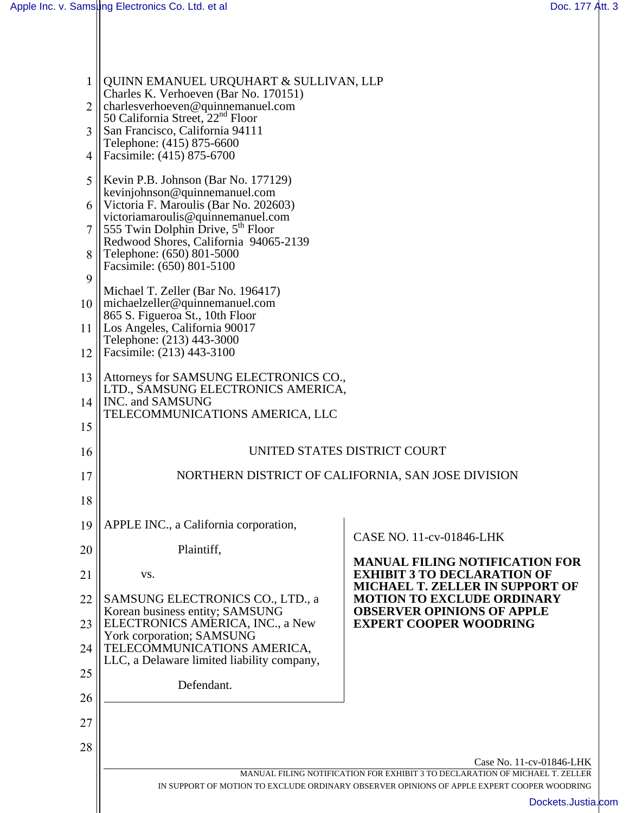| $\mathbf{1}$   | QUINN EMANUEL URQUHART & SULLIVAN, LLP<br>Charles K. Verhoeven (Bar No. 170151)                                                                                            |                                                                                                         |  |
|----------------|----------------------------------------------------------------------------------------------------------------------------------------------------------------------------|---------------------------------------------------------------------------------------------------------|--|
| 2              | charlesverhoeven@quinnemanuel.com<br>50 California Street, 22 <sup>nd</sup> Floor                                                                                          |                                                                                                         |  |
| 3              | San Francisco, California 94111<br>Telephone: (415) 875-6600                                                                                                               |                                                                                                         |  |
| $\overline{4}$ | Facsimile: (415) 875-6700                                                                                                                                                  |                                                                                                         |  |
| 5              | Kevin P.B. Johnson (Bar No. 177129)                                                                                                                                        |                                                                                                         |  |
|                | kevinjohnson@quinnemanuel.com<br>6    Victoria F. Maroulis (Bar No. 202603)                                                                                                |                                                                                                         |  |
|                | victoriamaroulis@quinnemanuel.com<br>555 Twin Dolphin Drive, 5 <sup>th</sup> Floor                                                                                         |                                                                                                         |  |
| 8              | Redwood Shores, California 94065-2139<br>Telephone: (650) 801-5000                                                                                                         |                                                                                                         |  |
| 9              | Facsimile: (650) 801-5100                                                                                                                                                  |                                                                                                         |  |
| 10             | Michael T. Zeller (Bar No. 196417)<br>$\ $ michaelzeller@quinnemanuel.com                                                                                                  |                                                                                                         |  |
| 11             | 865 S. Figueroa St., 10th Floor<br>Los Angeles, California 90017                                                                                                           |                                                                                                         |  |
| 12             | Telephone: (213) 443-3000<br>Facsimile: (213) 443-3100                                                                                                                     |                                                                                                         |  |
| 13             | Attorneys for SAMSUNG ELECTRONICS CO.,                                                                                                                                     |                                                                                                         |  |
|                | LTD., SAMSUNG ELECTRONICS AMERICA,                                                                                                                                         |                                                                                                         |  |
| 14             | INC. and SAMSUNG<br>TELECOMMUNICATIONS AMERICA, LLC                                                                                                                        |                                                                                                         |  |
| 15             |                                                                                                                                                                            |                                                                                                         |  |
| 16             | UNITED STATES DISTRICT COURT                                                                                                                                               |                                                                                                         |  |
| 17             | NORTHERN DISTRICT OF CALIFORNIA, SAN JOSE DIVISION                                                                                                                         |                                                                                                         |  |
| 18             |                                                                                                                                                                            |                                                                                                         |  |
| 19             | APPLE INC., a California corporation,                                                                                                                                      | CASE NO. 11-cv-01846-LHK                                                                                |  |
| 20             | Plaintiff,                                                                                                                                                                 | <b>MANUAL FILING NOTIFICATION FOR</b>                                                                   |  |
| 21             | VS.                                                                                                                                                                        | <b>EXHIBIT 3 TO DECLARATION OF</b><br><b>MICHAEL T. ZELLER IN SUPPORT OF</b>                            |  |
| 22<br>23       | SAMSUNG ELECTRONICS CO., LTD., a<br>Korean business entity; SAMSUNG<br>ELECTRONICS AMERICA, INC., a New                                                                    | <b>MOTION TO EXCLUDE ORDINARY</b><br><b>OBSERVER OPINIONS OF APPLE</b><br><b>EXPERT COOPER WOODRING</b> |  |
| 24             | York corporation; SAMSUNG<br>TELECOMMUNICATIONS AMERICA,                                                                                                                   |                                                                                                         |  |
| 25             | LLC, a Delaware limited liability company,                                                                                                                                 |                                                                                                         |  |
|                | Defendant.                                                                                                                                                                 |                                                                                                         |  |
| 26             |                                                                                                                                                                            |                                                                                                         |  |
| 27             |                                                                                                                                                                            |                                                                                                         |  |
| 28             |                                                                                                                                                                            | Case No. 11-cv-01846-LHK                                                                                |  |
|                | MANUAL FILING NOTIFICATION FOR EXHIBIT 3 TO DECLARATION OF MICHAEL T. ZELLER<br>IN SUPPORT OF MOTION TO EXCLUDE ORDINARY OBSERVER OPINIONS OF APPLE EXPERT COOPER WOODRING |                                                                                                         |  |
|                |                                                                                                                                                                            | Dockets.Justia.com                                                                                      |  |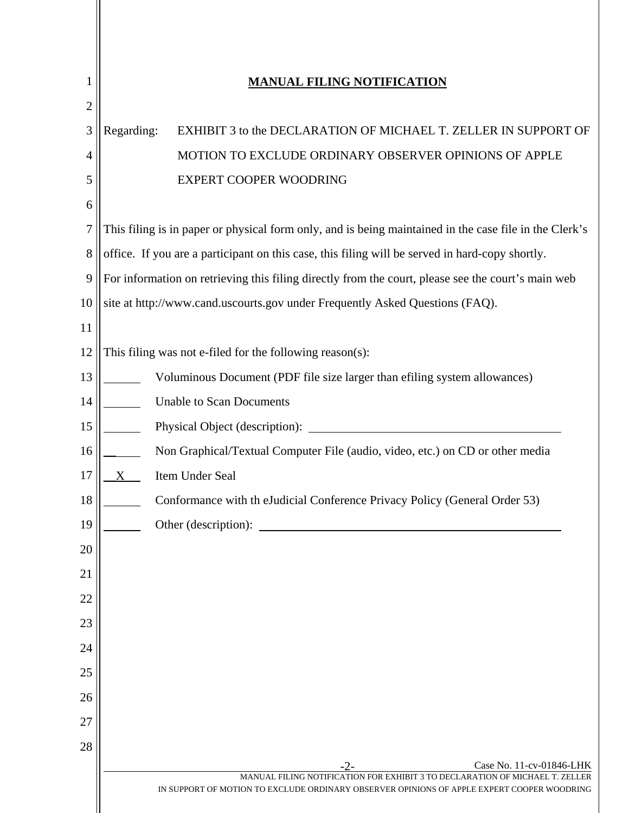| 1              | <b>MANUAL FILING NOTIFICATION</b>                                                                                                                                          |  |  |
|----------------|----------------------------------------------------------------------------------------------------------------------------------------------------------------------------|--|--|
| $\overline{2}$ |                                                                                                                                                                            |  |  |
| 3              | Regarding:<br>EXHIBIT 3 to the DECLARATION OF MICHAEL T. ZELLER IN SUPPORT OF                                                                                              |  |  |
| 4              | MOTION TO EXCLUDE ORDINARY OBSERVER OPINIONS OF APPLE                                                                                                                      |  |  |
| 5              | EXPERT COOPER WOODRING                                                                                                                                                     |  |  |
| 6              |                                                                                                                                                                            |  |  |
| 7              | This filing is in paper or physical form only, and is being maintained in the case file in the Clerk's                                                                     |  |  |
| 8              | office. If you are a participant on this case, this filing will be served in hard-copy shortly.                                                                            |  |  |
| $\overline{9}$ | For information on retrieving this filing directly from the court, please see the court's main web                                                                         |  |  |
| 10             | site at http://www.cand.uscourts.gov under Frequently Asked Questions (FAQ).                                                                                               |  |  |
| 11             |                                                                                                                                                                            |  |  |
| 12             | This filing was not e-filed for the following reason(s):                                                                                                                   |  |  |
| 13             | Voluminous Document (PDF file size larger than efiling system allowances)                                                                                                  |  |  |
| 14             | <b>Unable to Scan Documents</b>                                                                                                                                            |  |  |
| 15             | Physical Object (description):                                                                                                                                             |  |  |
| 16             | Non Graphical/Textual Computer File (audio, video, etc.) on CD or other media                                                                                              |  |  |
| 17             | Item Under Seal<br>X                                                                                                                                                       |  |  |
| 18             | Conformance with th eJudicial Conference Privacy Policy (General Order 53)                                                                                                 |  |  |
| 19             | Other (description):                                                                                                                                                       |  |  |
| 20             |                                                                                                                                                                            |  |  |
| 21             |                                                                                                                                                                            |  |  |
| 22             |                                                                                                                                                                            |  |  |
| 23             |                                                                                                                                                                            |  |  |
| 24             |                                                                                                                                                                            |  |  |
| 25             |                                                                                                                                                                            |  |  |
| 26             |                                                                                                                                                                            |  |  |
| 27             |                                                                                                                                                                            |  |  |
| 28             | Case No. 11-cv-01846-LHK                                                                                                                                                   |  |  |
|                | MANUAL FILING NOTIFICATION FOR EXHIBIT 3 TO DECLARATION OF MICHAEL T. ZELLER<br>IN SUPPORT OF MOTION TO EXCLUDE ORDINARY OBSERVER OPINIONS OF APPLE EXPERT COOPER WOODRING |  |  |
|                |                                                                                                                                                                            |  |  |